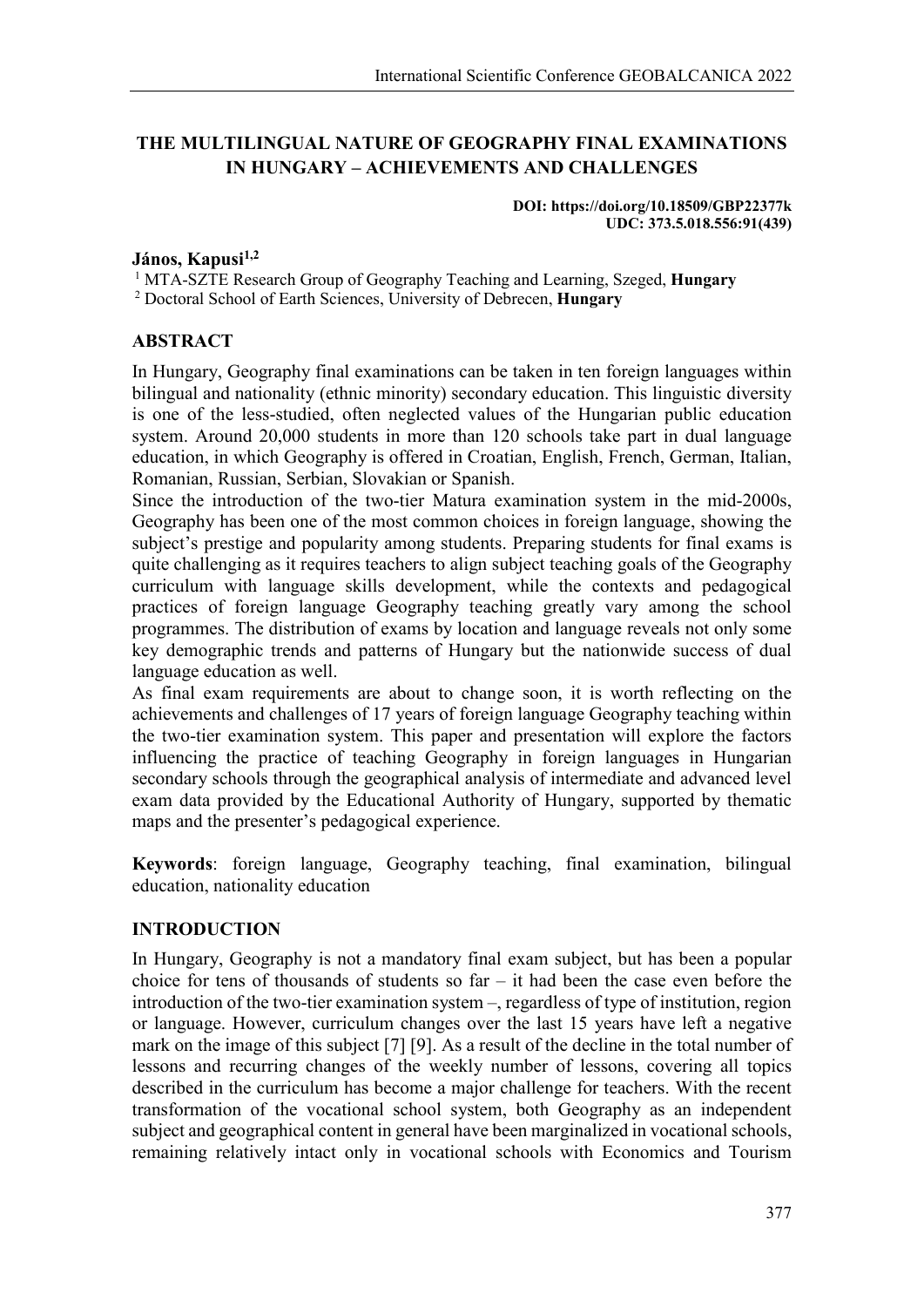# **THE MULTILINGUAL NATURE OF GEOGRAPHY FINAL EXAMINATIONS IN HUNGARY – ACHIEVEMENTS AND CHALLENGES**

**DOI: https://doi.org/10.18509/GBP22377k UDC: 373.5.018.556:91(439)**

#### **János, Kapusi1,2**

<sup>1</sup> MTA-SZTE Research Group of Geography Teaching and Learning, Szeged, **Hungary**

<sup>2</sup> Doctoral School of Earth Sciences, University of Debrecen, **Hungary**

### **ABSTRACT**

In Hungary, Geography final examinations can be taken in ten foreign languages within bilingual and nationality (ethnic minority) secondary education. This linguistic diversity is one of the less-studied, often neglected values of the Hungarian public education system. Around 20,000 students in more than 120 schools take part in dual language education, in which Geography is offered in Croatian, English, French, German, Italian, Romanian, Russian, Serbian, Slovakian or Spanish.

Since the introduction of the two-tier Matura examination system in the mid-2000s, Geography has been one of the most common choices in foreign language, showing the subject's prestige and popularity among students. Preparing students for final exams is quite challenging as it requires teachers to align subject teaching goals of the Geography curriculum with language skills development, while the contexts and pedagogical practices of foreign language Geography teaching greatly vary among the school programmes. The distribution of exams by location and language reveals not only some key demographic trends and patterns of Hungary but the nationwide success of dual language education as well.

As final exam requirements are about to change soon, it is worth reflecting on the achievements and challenges of 17 years of foreign language Geography teaching within the two-tier examination system. This paper and presentation will explore the factors influencing the practice of teaching Geography in foreign languages in Hungarian secondary schools through the geographical analysis of intermediate and advanced level exam data provided by the Educational Authority of Hungary, supported by thematic maps and the presenter's pedagogical experience.

**Keywords**: foreign language, Geography teaching, final examination, bilingual education, nationality education

### **INTRODUCTION**

In Hungary, Geography is not a mandatory final exam subject, but has been a popular choice for tens of thousands of students so  $far - it$  had been the case even before the introduction of the two-tier examination system –, regardless of type of institution, region or language. However, curriculum changes over the last 15 years have left a negative mark on the image of this subject [7] [9]. As a result of the decline in the total number of lessons and recurring changes of the weekly number of lessons, covering all topics described in the curriculum has become a major challenge for teachers. With the recent transformation of the vocational school system, both Geography as an independent subject and geographical content in general have been marginalized in vocational schools, remaining relatively intact only in vocational schools with Economics and Tourism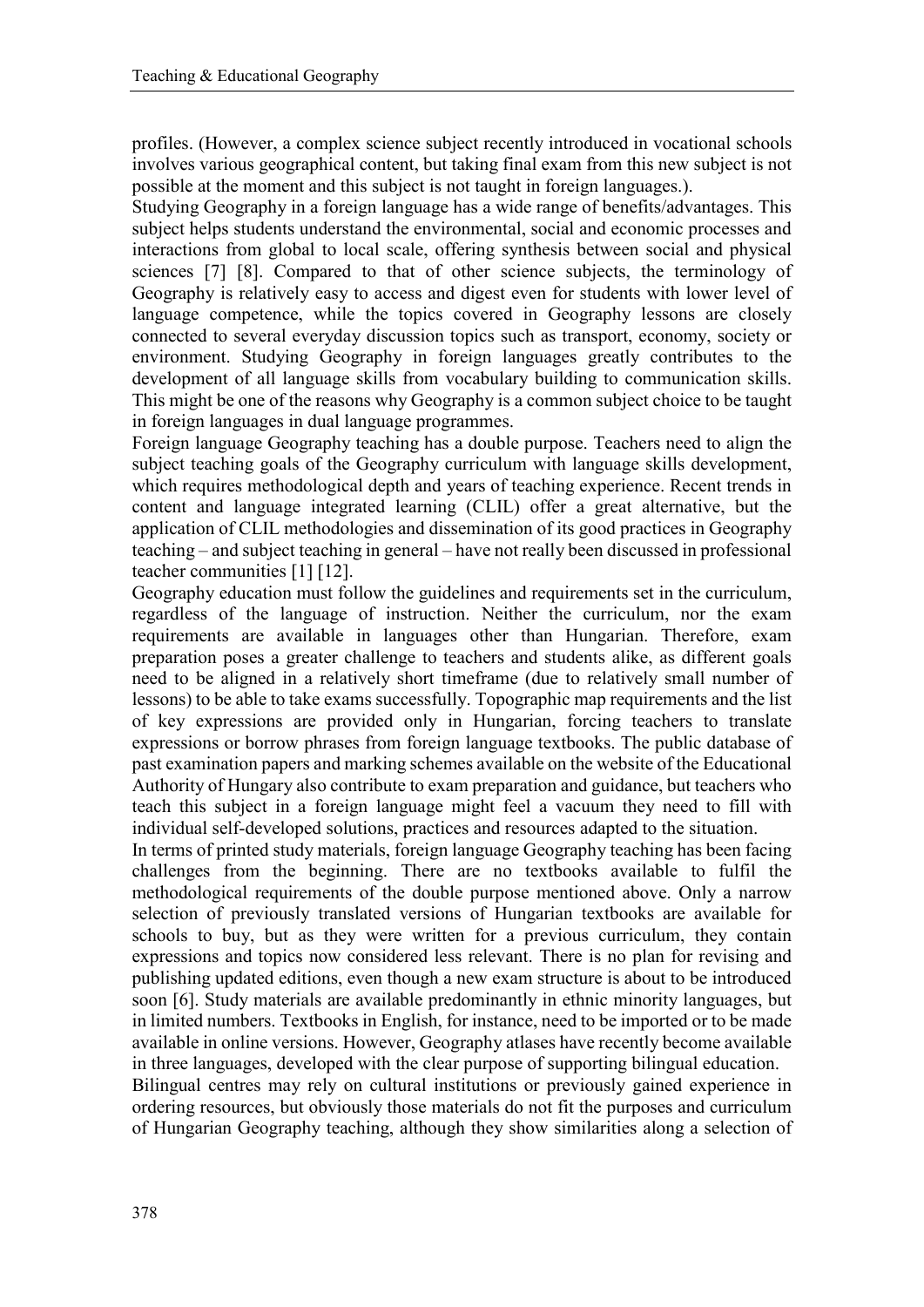profiles. (However, a complex science subject recently introduced in vocational schools involves various geographical content, but taking final exam from this new subject is not possible at the moment and this subject is not taught in foreign languages.).

Studying Geography in a foreign language has a wide range of benefits/advantages. This subject helps students understand the environmental, social and economic processes and interactions from global to local scale, offering synthesis between social and physical sciences [7] [8]. Compared to that of other science subjects, the terminology of Geography is relatively easy to access and digest even for students with lower level of language competence, while the topics covered in Geography lessons are closely connected to several everyday discussion topics such as transport, economy, society or environment. Studying Geography in foreign languages greatly contributes to the development of all language skills from vocabulary building to communication skills. This might be one of the reasons why Geography is a common subject choice to be taught in foreign languages in dual language programmes.

Foreign language Geography teaching has a double purpose. Teachers need to align the subject teaching goals of the Geography curriculum with language skills development, which requires methodological depth and years of teaching experience. Recent trends in content and language integrated learning (CLIL) offer a great alternative, but the application of CLIL methodologies and dissemination of its good practices in Geography teaching – and subject teaching in general – have not really been discussed in professional teacher communities [1] [12].

Geography education must follow the guidelines and requirements set in the curriculum, regardless of the language of instruction. Neither the curriculum, nor the exam requirements are available in languages other than Hungarian. Therefore, exam preparation poses a greater challenge to teachers and students alike, as different goals need to be aligned in a relatively short timeframe (due to relatively small number of lessons) to be able to take exams successfully. Topographic map requirements and the list of key expressions are provided only in Hungarian, forcing teachers to translate expressions or borrow phrases from foreign language textbooks. The public database of past examination papers and marking schemes available on the website of the Educational Authority of Hungary also contribute to exam preparation and guidance, but teachers who teach this subject in a foreign language might feel a vacuum they need to fill with individual self-developed solutions, practices and resources adapted to the situation.

In terms of printed study materials, foreign language Geography teaching has been facing challenges from the beginning. There are no textbooks available to fulfil the methodological requirements of the double purpose mentioned above. Only a narrow selection of previously translated versions of Hungarian textbooks are available for schools to buy, but as they were written for a previous curriculum, they contain expressions and topics now considered less relevant. There is no plan for revising and publishing updated editions, even though a new exam structure is about to be introduced soon [6]. Study materials are available predominantly in ethnic minority languages, but in limited numbers. Textbooks in English, for instance, need to be imported or to be made available in online versions. However, Geography atlases have recently become available in three languages, developed with the clear purpose of supporting bilingual education.

Bilingual centres may rely on cultural institutions or previously gained experience in ordering resources, but obviously those materials do not fit the purposes and curriculum of Hungarian Geography teaching, although they show similarities along a selection of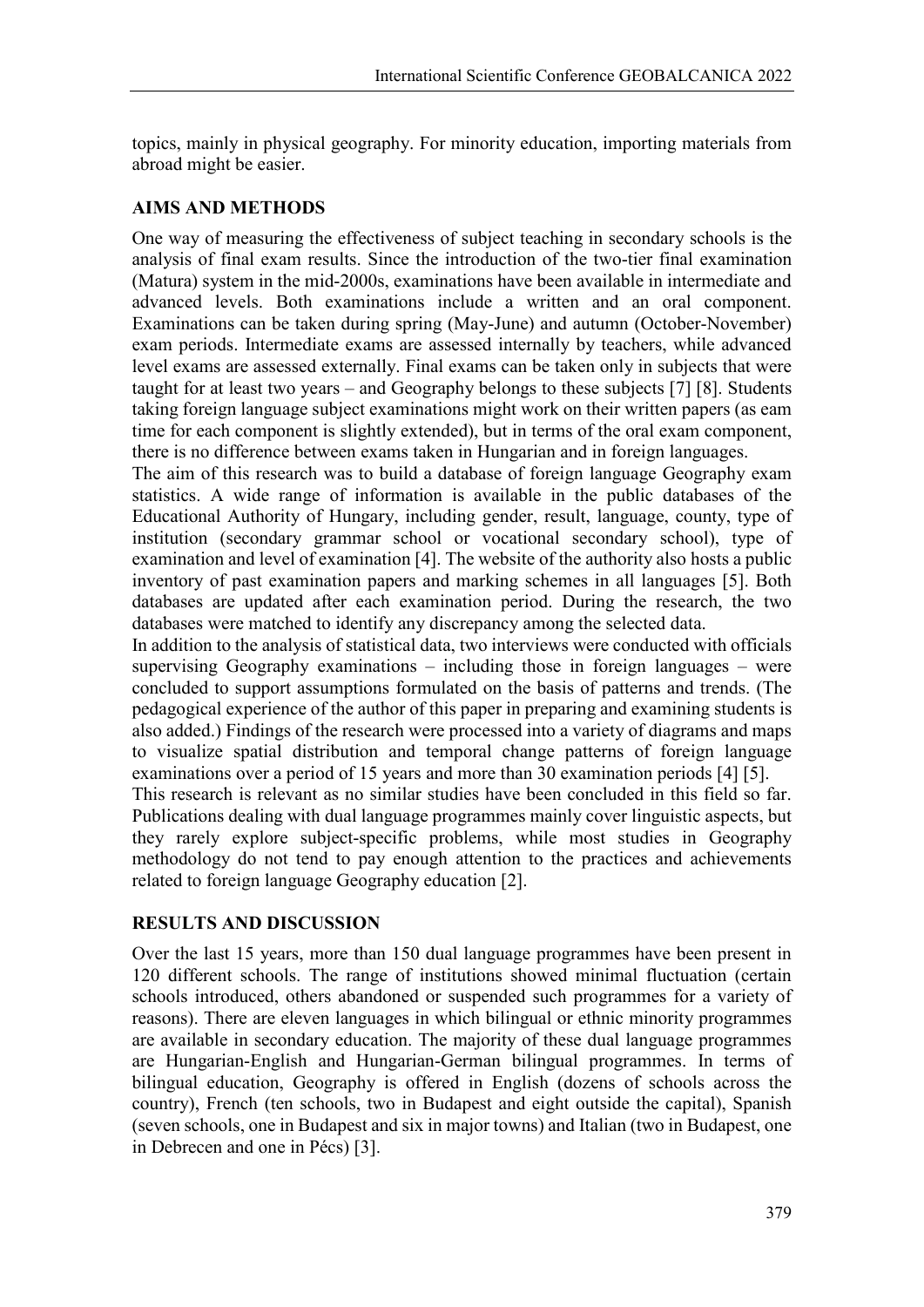topics, mainly in physical geography. For minority education, importing materials from abroad might be easier.

## **AIMS AND METHODS**

One way of measuring the effectiveness of subject teaching in secondary schools is the analysis of final exam results. Since the introduction of the two-tier final examination (Matura) system in the mid-2000s, examinations have been available in intermediate and advanced levels. Both examinations include a written and an oral component. Examinations can be taken during spring (May-June) and autumn (October-November) exam periods. Intermediate exams are assessed internally by teachers, while advanced level exams are assessed externally. Final exams can be taken only in subjects that were taught for at least two years – and Geography belongs to these subjects [7] [8]. Students taking foreign language subject examinations might work on their written papers (as eam time for each component is slightly extended), but in terms of the oral exam component, there is no difference between exams taken in Hungarian and in foreign languages.

The aim of this research was to build a database of foreign language Geography exam statistics. A wide range of information is available in the public databases of the Educational Authority of Hungary, including gender, result, language, county, type of institution (secondary grammar school or vocational secondary school), type of examination and level of examination [4]. The website of the authority also hosts a public inventory of past examination papers and marking schemes in all languages [5]. Both databases are updated after each examination period. During the research, the two databases were matched to identify any discrepancy among the selected data.

In addition to the analysis of statistical data, two interviews were conducted with officials supervising Geography examinations – including those in foreign languages – were concluded to support assumptions formulated on the basis of patterns and trends. (The pedagogical experience of the author of this paper in preparing and examining students is also added.) Findings of the research were processed into a variety of diagrams and maps to visualize spatial distribution and temporal change patterns of foreign language examinations over a period of 15 years and more than 30 examination periods [4] [5].

This research is relevant as no similar studies have been concluded in this field so far. Publications dealing with dual language programmes mainly cover linguistic aspects, but they rarely explore subject-specific problems, while most studies in Geography methodology do not tend to pay enough attention to the practices and achievements related to foreign language Geography education [2].

### **RESULTS AND DISCUSSION**

Over the last 15 years, more than 150 dual language programmes have been present in 120 different schools. The range of institutions showed minimal fluctuation (certain schools introduced, others abandoned or suspended such programmes for a variety of reasons). There are eleven languages in which bilingual or ethnic minority programmes are available in secondary education. The majority of these dual language programmes are Hungarian-English and Hungarian-German bilingual programmes. In terms of bilingual education, Geography is offered in English (dozens of schools across the country), French (ten schools, two in Budapest and eight outside the capital), Spanish (seven schools, one in Budapest and six in major towns) and Italian (two in Budapest, one in Debrecen and one in Pécs) [3].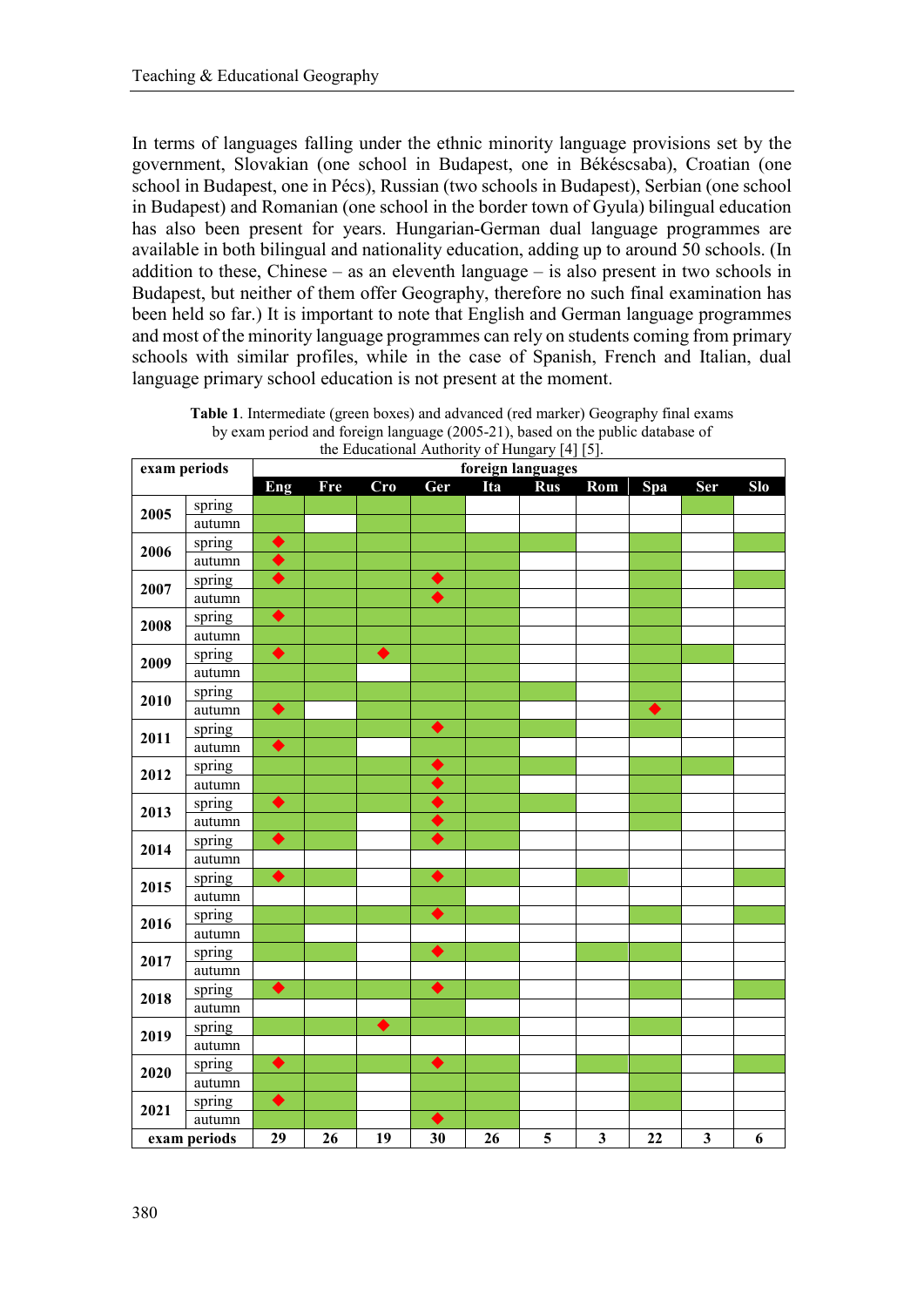In terms of languages falling under the ethnic minority language provisions set by the government, Slovakian (one school in Budapest, one in Békéscsaba), Croatian (one school in Budapest, one in Pécs), Russian (two schools in Budapest), Serbian (one school in Budapest) and Romanian (one school in the border town of Gyula) bilingual education has also been present for years. Hungarian-German dual language programmes are available in both bilingual and nationality education, adding up to around 50 schools. (In addition to these, Chinese – as an eleventh language – is also present in two schools in Budapest, but neither of them offer Geography, therefore no such final examination has been held so far.) It is important to note that English and German language programmes and most of the minority language programmes can rely on students coming from primary schools with similar profiles, while in the case of Spanish, French and Italian, dual language primary school education is not present at the moment.

| exam periods |        | $\frac{1}{2}$ . Equeational Authority of Flungary $\lfloor -1 \rfloor$<br>foreign languages |     |                      |                  |     |            |              |                 |              |     |
|--------------|--------|---------------------------------------------------------------------------------------------|-----|----------------------|------------------|-----|------------|--------------|-----------------|--------------|-----|
|              |        | Eng                                                                                         | Fre | Cro                  | Ger              | Ita | <b>Rus</b> | Rom          | Spa             | Ser          | Slo |
| 2005         | spring |                                                                                             |     |                      |                  |     |            |              |                 |              |     |
|              | autumn |                                                                                             |     |                      |                  |     |            |              |                 |              |     |
| 2006         | spring | $\blacklozenge$                                                                             |     |                      |                  |     |            |              |                 |              |     |
|              | autumn | $\overline{\blacklozenge}$                                                                  |     |                      |                  |     |            |              |                 |              |     |
| 2007         | spring | $\overline{\blacklozenge}$                                                                  |     |                      | $\bullet$        |     |            |              |                 |              |     |
|              | autumn |                                                                                             |     |                      | $\ddot{\bullet}$ |     |            |              |                 |              |     |
| 2008         | spring | $\blacklozenge$                                                                             |     |                      |                  |     |            |              |                 |              |     |
|              | autumn |                                                                                             |     |                      |                  |     |            |              |                 |              |     |
| 2009         | spring | $\blacklozenge$                                                                             |     | $\overline{\bullet}$ |                  |     |            |              |                 |              |     |
|              | autumn |                                                                                             |     |                      |                  |     |            |              |                 |              |     |
| 2010         | spring |                                                                                             |     |                      |                  |     |            |              |                 |              |     |
|              | autumn | $\blacklozenge$                                                                             |     |                      |                  |     |            |              | $\blacklozenge$ |              |     |
| 2011         | spring |                                                                                             |     |                      | $\blacklozenge$  |     |            |              |                 |              |     |
|              | autumn | $\blacklozenge$                                                                             |     |                      |                  |     |            |              |                 |              |     |
| 2012         | spring |                                                                                             |     |                      | ▶                |     |            |              |                 |              |     |
|              | autumn |                                                                                             |     |                      | ♦                |     |            |              |                 |              |     |
| 2013         | spring | $\blacklozenge$                                                                             |     |                      | ♦                |     |            |              |                 |              |     |
|              | autumn |                                                                                             |     |                      | ♦                |     |            |              |                 |              |     |
| 2014         | spring | $\overline{\blacklozenge}$                                                                  |     |                      | ▶                |     |            |              |                 |              |     |
|              | autumn |                                                                                             |     |                      |                  |     |            |              |                 |              |     |
| 2015         | spring | $\blacklozenge$                                                                             |     |                      | $\bullet$        |     |            |              |                 |              |     |
|              | autumn |                                                                                             |     |                      |                  |     |            |              |                 |              |     |
| 2016         | spring |                                                                                             |     |                      | $\bullet$        |     |            |              |                 |              |     |
|              | autumn |                                                                                             |     |                      |                  |     |            |              |                 |              |     |
| 2017         | spring |                                                                                             |     |                      | $\bullet$        |     |            |              |                 |              |     |
|              | autumn |                                                                                             |     |                      |                  |     |            |              |                 |              |     |
| 2018         | spring | $\ddot{\bullet}$                                                                            |     |                      | $\bullet$        |     |            |              |                 |              |     |
|              | autumn |                                                                                             |     |                      |                  |     |            |              |                 |              |     |
| 2019         | spring |                                                                                             |     | $\blacklozenge$      |                  |     |            |              |                 |              |     |
|              | autumn |                                                                                             |     |                      |                  |     |            |              |                 |              |     |
| 2020         | spring | $\blacklozenge$                                                                             |     |                      | ♦                |     |            |              |                 |              |     |
|              | autumn |                                                                                             |     |                      |                  |     |            |              |                 |              |     |
| 2021         | spring | $\overline{\blacklozenge}$                                                                  |     |                      |                  |     |            |              |                 |              |     |
|              | autumn |                                                                                             |     |                      | ▶                |     |            |              |                 |              |     |
| exam periods |        | 29                                                                                          | 26  | 19                   | 30               | 26  | 5          | $\mathbf{3}$ | 22              | $\mathbf{3}$ | 6   |

**Table 1**. Intermediate (green boxes) and advanced (red marker) Geography final exams by exam period and foreign language (2005-21), based on the public database of the Educational Authority of Hungary [4] [5].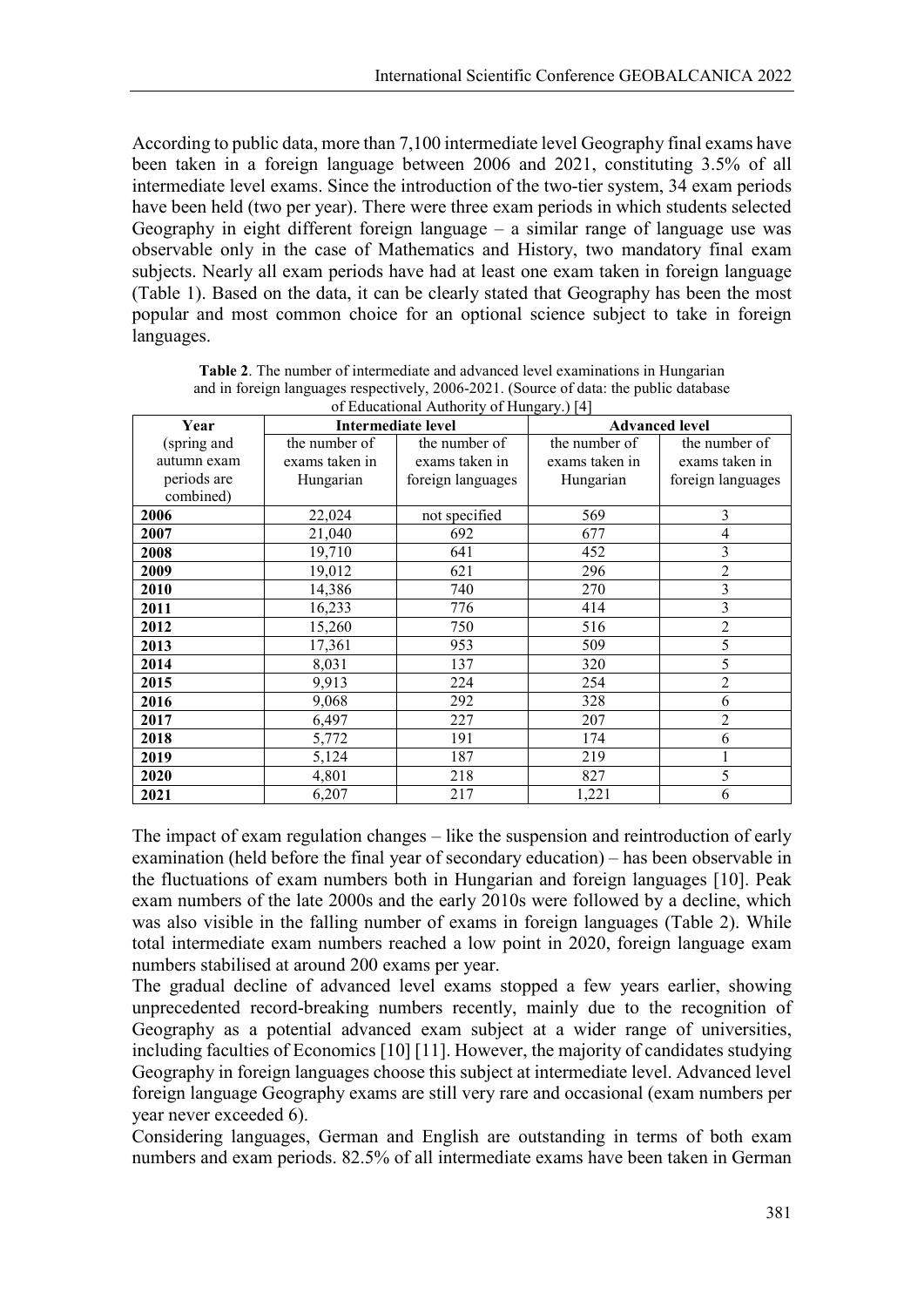According to public data, more than 7,100 intermediate level Geography final exams have been taken in a foreign language between 2006 and 2021, constituting 3.5% of all intermediate level exams. Since the introduction of the two-tier system, 34 exam periods have been held (two per year). There were three exam periods in which students selected Geography in eight different foreign language – a similar range of language use was observable only in the case of Mathematics and History, two mandatory final exam subjects. Nearly all exam periods have had at least one exam taken in foreign language (Table 1). Based on the data, it can be clearly stated that Geography has been the most popular and most common choice for an optional science subject to take in foreign languages.

| Year        |                | <b>Intermediate level</b> | <b>Advanced level</b> |                   |  |  |
|-------------|----------------|---------------------------|-----------------------|-------------------|--|--|
| (spring and | the number of  | the number of             | the number of         | the number of     |  |  |
| autumn exam | exams taken in | exams taken in            | exams taken in        | exams taken in    |  |  |
| periods are | Hungarian      | foreign languages         | Hungarian             | foreign languages |  |  |
| combined)   |                |                           |                       |                   |  |  |
| 2006        | 22,024         | not specified             | 569                   | 3                 |  |  |
| 2007        | 21,040         | 692                       | 677                   | 4                 |  |  |
| 2008        | 19,710         | 641                       | 452                   | 3                 |  |  |
| 2009        | 19,012         | 621                       | 296                   | $\overline{2}$    |  |  |
| 2010        | 14,386         | 740                       | 270                   | 3                 |  |  |
| 2011        | 16,233         | 776                       | 414                   | 3                 |  |  |
| 2012        | 15,260         | 750                       | 516                   | 2                 |  |  |
| 2013        | 17,361         | 953                       | 509                   | 5                 |  |  |
| 2014        | 8,031          | 137                       | 320                   | 5                 |  |  |
| 2015        | 9,913          | 224                       | 254                   | 2                 |  |  |
| 2016        | 9,068          | 292                       | 328                   | 6                 |  |  |
| 2017        | 6,497          | 227                       | 207                   | 2                 |  |  |
| 2018        | 5,772          | 191                       | 174                   | 6                 |  |  |
| 2019        | 5,124          | 187                       | 219                   |                   |  |  |
| 2020        | 4,801          | 218                       | 827                   | 5                 |  |  |
| 2021        | 6,207          | 217                       | 1,221                 | 6                 |  |  |

**Table 2**. The number of intermediate and advanced level examinations in Hungarian and in foreign languages respectively, 2006-2021. (Source of data: the public database  $\overline{\text{a}}$  LAuthority

The impact of exam regulation changes – like the suspension and reintroduction of early examination (held before the final year of secondary education) – has been observable in the fluctuations of exam numbers both in Hungarian and foreign languages [10]. Peak exam numbers of the late 2000s and the early 2010s were followed by a decline, which was also visible in the falling number of exams in foreign languages (Table 2). While total intermediate exam numbers reached a low point in 2020, foreign language exam numbers stabilised at around 200 exams per year.

The gradual decline of advanced level exams stopped a few years earlier, showing unprecedented record-breaking numbers recently, mainly due to the recognition of Geography as a potential advanced exam subject at a wider range of universities, including faculties of Economics [10] [11]. However, the majority of candidates studying Geography in foreign languages choose this subject at intermediate level. Advanced level foreign language Geography exams are still very rare and occasional (exam numbers per year never exceeded 6).

Considering languages, German and English are outstanding in terms of both exam numbers and exam periods. 82.5% of all intermediate exams have been taken in German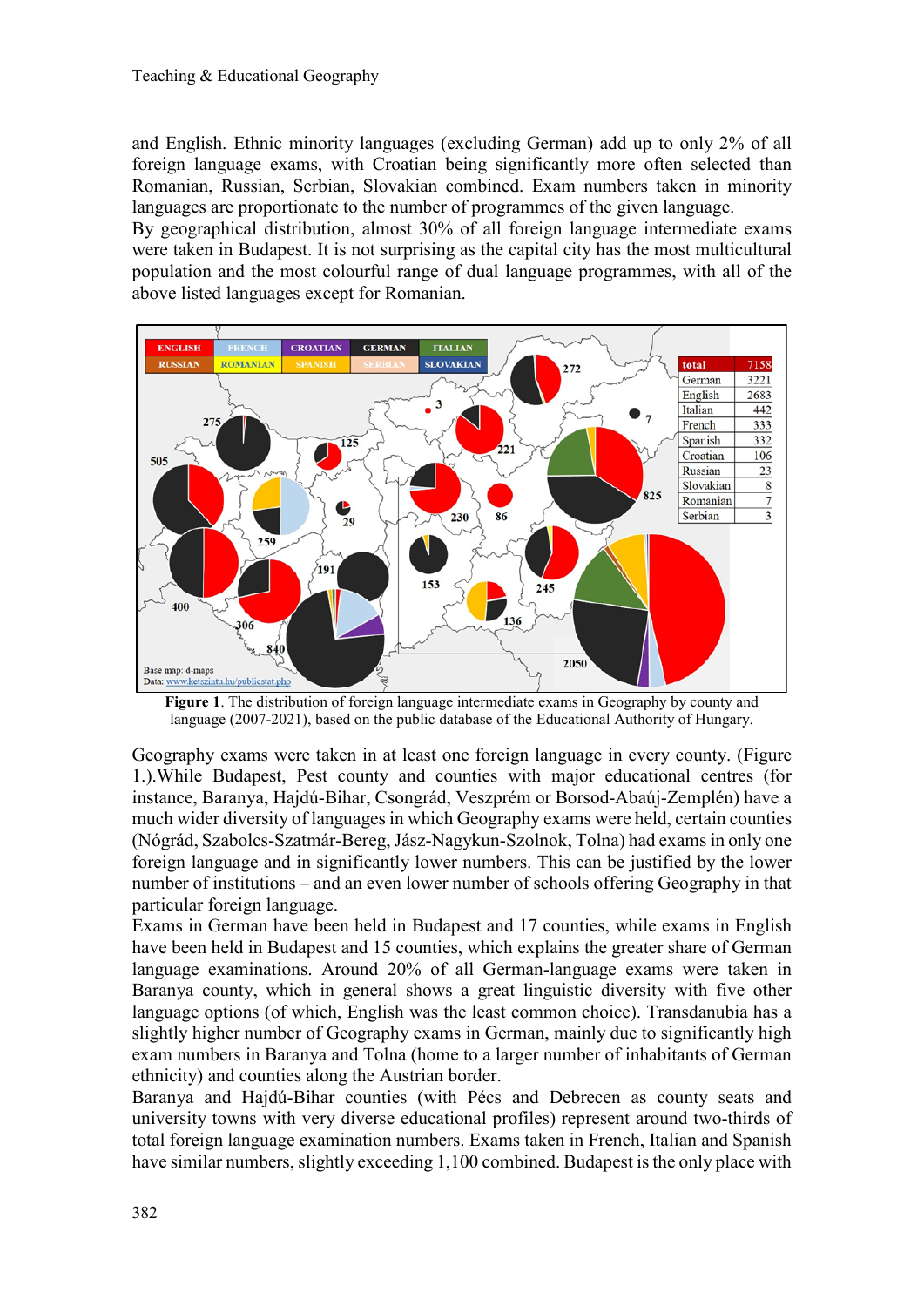and English. Ethnic minority languages (excluding German) add up to only 2% of all foreign language exams, with Croatian being significantly more often selected than Romanian, Russian, Serbian, Slovakian combined. Exam numbers taken in minority languages are proportionate to the number of programmes of the given language.

By geographical distribution, almost 30% of all foreign language intermediate exams were taken in Budapest. It is not surprising as the capital city has the most multicultural population and the most colourful range of dual language programmes, with all of the above listed languages except for Romanian.



**Figure 1**. The distribution of foreign language intermediate exams in Geography by county and language (2007-2021), based on the public database of the Educational Authority of Hungary.

Geography exams were taken in at least one foreign language in every county. (Figure 1.).While Budapest, Pest county and counties with major educational centres (for instance, Baranya, Hajdú-Bihar, Csongrád, Veszprém or Borsod-Abaúj-Zemplén) have a much wider diversity of languages in which Geography exams were held, certain counties (Nógrád, Szabolcs-Szatmár-Bereg, Jász-Nagykun-Szolnok, Tolna) had exams in only one foreign language and in significantly lower numbers. This can be justified by the lower number of institutions – and an even lower number of schools offering Geography in that particular foreign language.

Exams in German have been held in Budapest and 17 counties, while exams in English have been held in Budapest and 15 counties, which explains the greater share of German language examinations. Around 20% of all German-language exams were taken in Baranya county, which in general shows a great linguistic diversity with five other language options (of which, English was the least common choice). Transdanubia has a slightly higher number of Geography exams in German, mainly due to significantly high exam numbers in Baranya and Tolna (home to a larger number of inhabitants of German ethnicity) and counties along the Austrian border.

Baranya and Hajdú-Bihar counties (with Pécs and Debrecen as county seats and university towns with very diverse educational profiles) represent around two-thirds of total foreign language examination numbers. Exams taken in French, Italian and Spanish have similar numbers, slightly exceeding 1,100 combined. Budapest is the only place with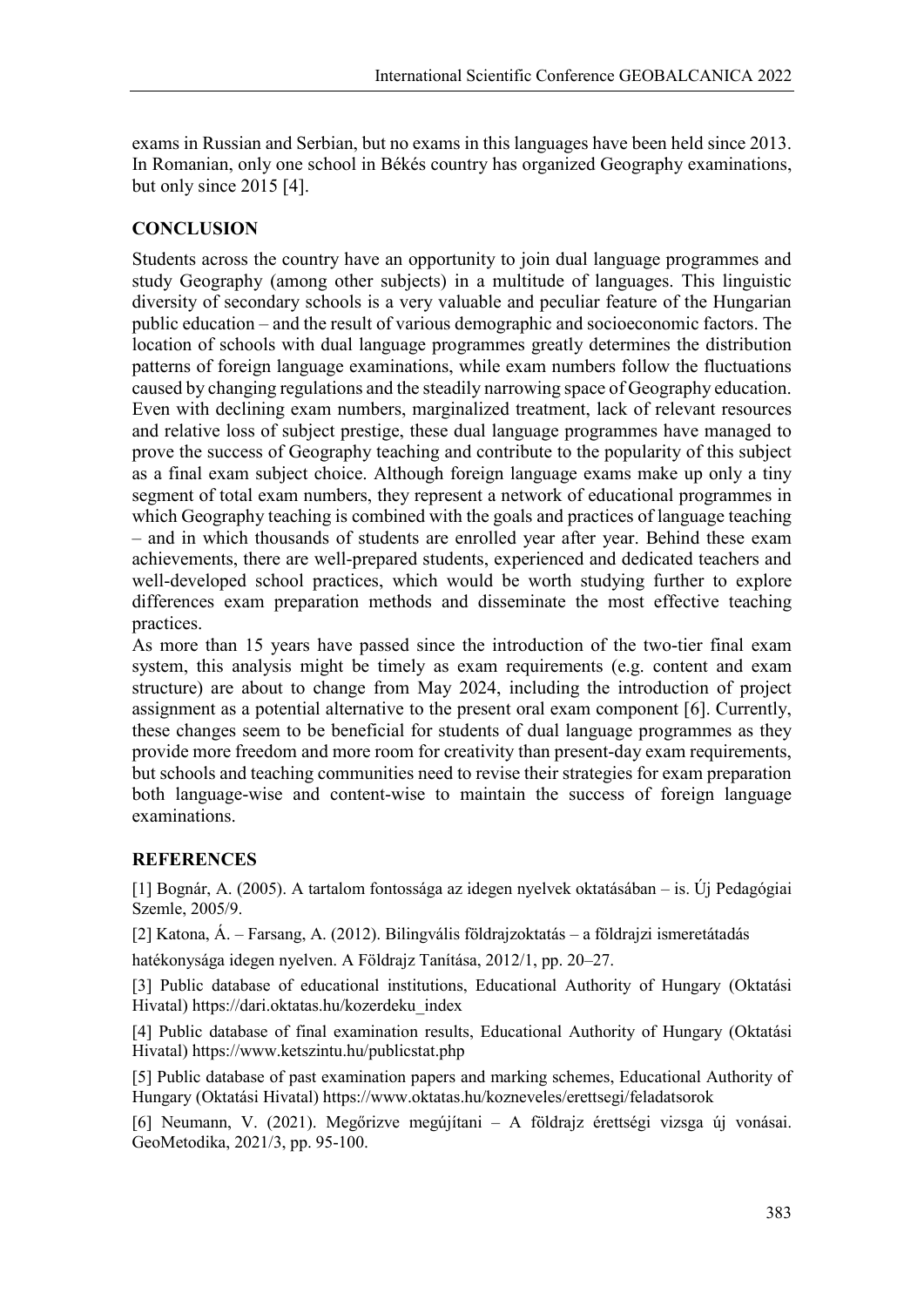exams in Russian and Serbian, but no exams in this languages have been held since 2013. In Romanian, only one school in Békés country has organized Geography examinations, but only since 2015 [4].

### **CONCLUSION**

Students across the country have an opportunity to join dual language programmes and study Geography (among other subjects) in a multitude of languages. This linguistic diversity of secondary schools is a very valuable and peculiar feature of the Hungarian public education – and the result of various demographic and socioeconomic factors. The location of schools with dual language programmes greatly determines the distribution patterns of foreign language examinations, while exam numbers follow the fluctuations caused by changing regulations and the steadily narrowing space of Geography education. Even with declining exam numbers, marginalized treatment, lack of relevant resources and relative loss of subject prestige, these dual language programmes have managed to prove the success of Geography teaching and contribute to the popularity of this subject as a final exam subject choice. Although foreign language exams make up only a tiny segment of total exam numbers, they represent a network of educational programmes in which Geography teaching is combined with the goals and practices of language teaching – and in which thousands of students are enrolled year after year. Behind these exam achievements, there are well-prepared students, experienced and dedicated teachers and well-developed school practices, which would be worth studying further to explore differences exam preparation methods and disseminate the most effective teaching practices.

As more than 15 years have passed since the introduction of the two-tier final exam system, this analysis might be timely as exam requirements (e.g. content and exam structure) are about to change from May 2024, including the introduction of project assignment as a potential alternative to the present oral exam component [6]. Currently, these changes seem to be beneficial for students of dual language programmes as they provide more freedom and more room for creativity than present-day exam requirements, but schools and teaching communities need to revise their strategies for exam preparation both language-wise and content-wise to maintain the success of foreign language examinations.

### **REFERENCES**

[1] Bognár, A. (2005). A tartalom fontossága az idegen nyelvek oktatásában – is. Új Pedagógiai Szemle, 2005/9.

[2] Katona, Á. – Farsang, A. (2012). Bilingvális földrajzoktatás – a földrajzi ismeretátadás

hatékonysága idegen nyelven. A Földrajz Tanítása, 2012/1, pp. 20–27.

[3] Public database of educational institutions, Educational Authority of Hungary (Oktatási Hivatal) https://dari.oktatas.hu/kozerdeku\_index

[4] Public database of final examination results, Educational Authority of Hungary (Oktatási Hivatal) https://www.ketszintu.hu/publicstat.php

[5] Public database of past examination papers and marking schemes, Educational Authority of Hungary (Oktatási Hivatal) https://www.oktatas.hu/kozneveles/erettsegi/feladatsorok

[6] Neumann, V. (2021). Megőrizve megújítani – A földrajz érettségi vizsga új vonásai. GeoMetodika, 2021/3, pp. 95-100.